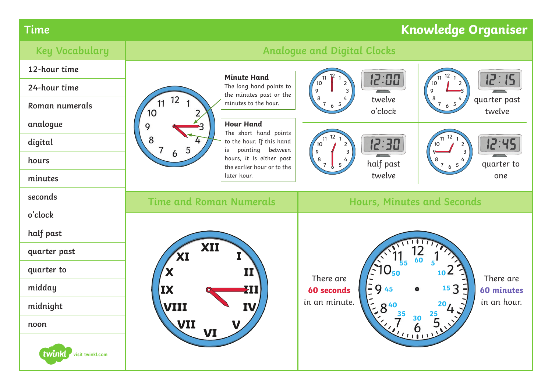## **Time Knowledge Organiser**